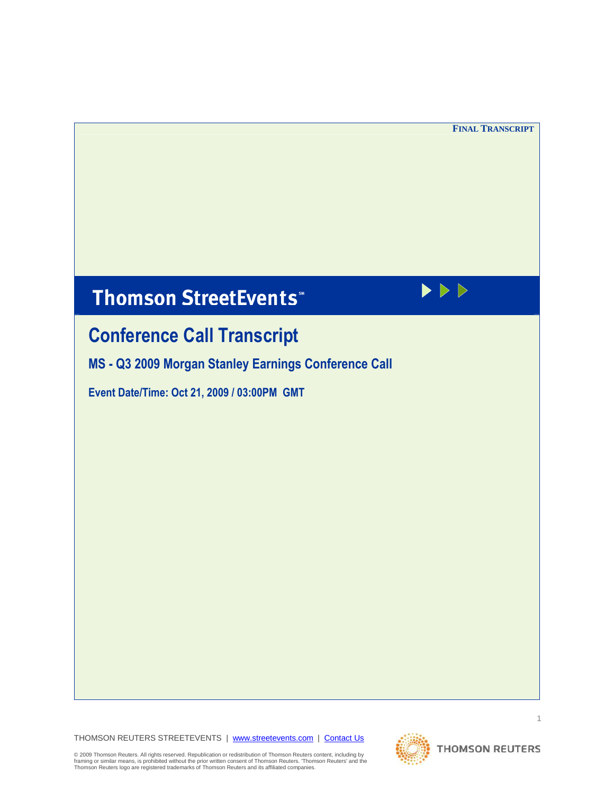$\blacktriangleright \triangleright \triangleright$ 

# **Thomson StreetEvents**\*

# Conference Call Transcript

MS - Q3 2009 Morgan Stanley Earnings Conference Call

Event Date/Time: Oct 21, 2009 / 03:00PM GMT

THOMSON REUTERS STREETEVENTS | www.streetevents.com | Contact Us



© 2009 Thomson Reuters. All rights reserved. Republication or redistribution of Thomson Reuters content, including by<br>framing or similar means, is prohibited without the prior written consent of Thomson Reuters. 'Thomson R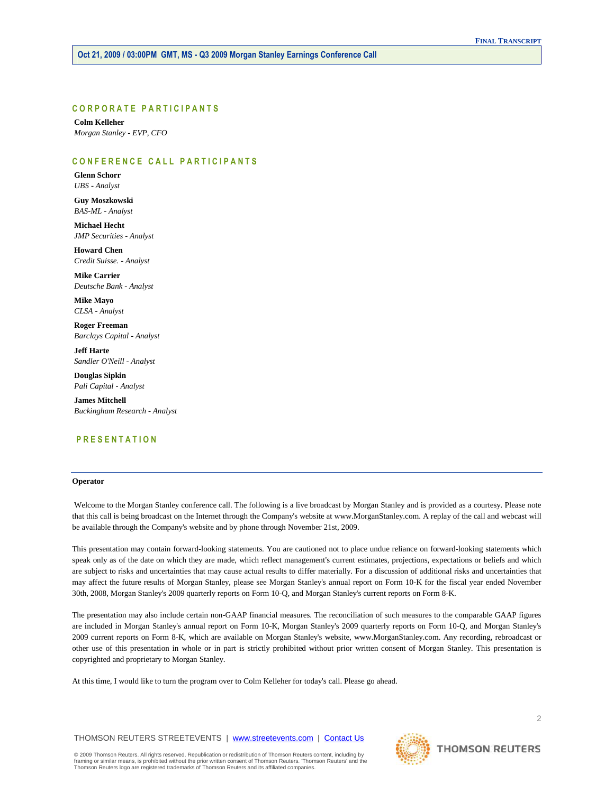# CORPORATE PARTICIPANTS

 **Colm Kelleher**   *Morgan Stanley - EVP, CFO* 

# CONFERENCE CALL PARTICIPANTS

 **Glenn Schorr**   *UBS - Analyst* 

 **Guy Moszkowski**   *BAS-ML - Analyst* 

 **Michael Hecht**   *JMP Securities - Analyst* 

 **Howard Chen**   *Credit Suisse. - Analyst* 

 **Mike Carrier**   *Deutsche Bank - Analyst* 

 **Mike Mayo**   *CLSA - Analyst* 

 **Roger Freeman**   *Barclays Capital - Analyst* 

 **Jeff Harte**   *Sandler O'Neill - Analyst* 

 **Douglas Sipkin**   *Pali Capital - Analyst* 

 **James Mitchell**   *Buckingham Research - Analyst* 

# P R E S E N T A T I O N

# **Operator**

 Welcome to the Morgan Stanley conference call. The following is a live broadcast by Morgan Stanley and is provided as a courtesy. Please note that this call is being broadcast on the Internet through the Company's website at www.MorganStanley.com. A replay of the call and webcast will be available through the Company's website and by phone through November 21st, 2009.

This presentation may contain forward-looking statements. You are cautioned not to place undue reliance on forward-looking statements which speak only as of the date on which they are made, which reflect management's current estimates, projections, expectations or beliefs and which are subject to risks and uncertainties that may cause actual results to differ materially. For a discussion of additional risks and uncertainties that may affect the future results of Morgan Stanley, please see Morgan Stanley's annual report on Form 10-K for the fiscal year ended November 30th, 2008, Morgan Stanley's 2009 quarterly reports on Form 10-Q, and Morgan Stanley's current reports on Form 8-K.

The presentation may also include certain non-GAAP financial measures. The reconciliation of such measures to the comparable GAAP figures are included in Morgan Stanley's annual report on Form 10-K, Morgan Stanley's 2009 quarterly reports on Form 10-Q, and Morgan Stanley's 2009 current reports on Form 8-K, which are available on Morgan Stanley's website, www.MorganStanley.com. Any recording, rebroadcast or other use of this presentation in whole or in part is strictly prohibited without prior written consent of Morgan Stanley. This presentation is copyrighted and proprietary to Morgan Stanley.

At this time, I would like to turn the program over to Colm Kelleher for today's call. Please go ahead.

THOMSON REUTERS STREETEVENTS | www.streetevents.com | Contact Us

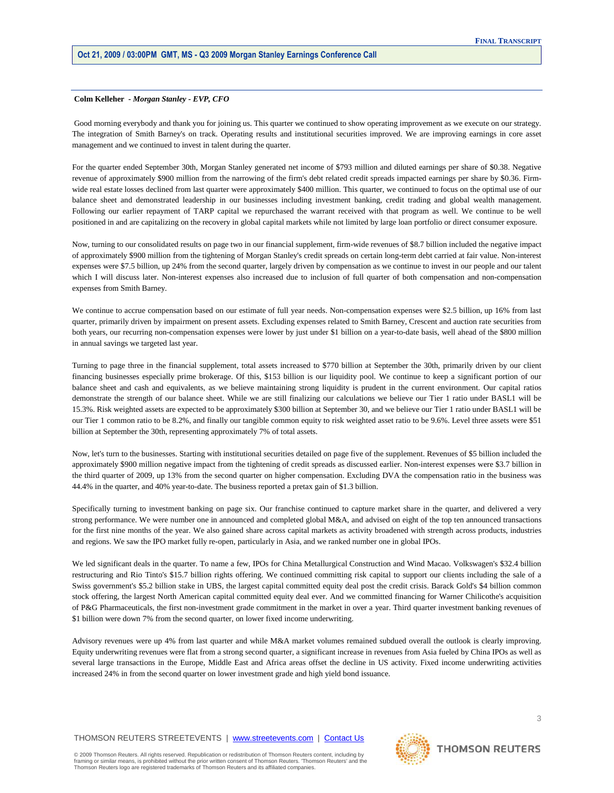#### **Colm Kelleher** *- Morgan Stanley - EVP, CFO*

 Good morning everybody and thank you for joining us. This quarter we continued to show operating improvement as we execute on our strategy. The integration of Smith Barney's on track. Operating results and institutional securities improved. We are improving earnings in core asset management and we continued to invest in talent during the quarter.

For the quarter ended September 30th, Morgan Stanley generated net income of \$793 million and diluted earnings per share of \$0.38. Negative revenue of approximately \$900 million from the narrowing of the firm's debt related credit spreads impacted earnings per share by \$0.36. Firmwide real estate losses declined from last quarter were approximately \$400 million. This quarter, we continued to focus on the optimal use of our balance sheet and demonstrated leadership in our businesses including investment banking, credit trading and global wealth management. Following our earlier repayment of TARP capital we repurchased the warrant received with that program as well. We continue to be well positioned in and are capitalizing on the recovery in global capital markets while not limited by large loan portfolio or direct consumer exposure.

Now, turning to our consolidated results on page two in our financial supplement, firm-wide revenues of \$8.7 billion included the negative impact of approximately \$900 million from the tightening of Morgan Stanley's credit spreads on certain long-term debt carried at fair value. Non-interest expenses were \$7.5 billion, up 24% from the second quarter, largely driven by compensation as we continue to invest in our people and our talent which I will discuss later. Non-interest expenses also increased due to inclusion of full quarter of both compensation and non-compensation expenses from Smith Barney.

We continue to accrue compensation based on our estimate of full year needs. Non-compensation expenses were \$2.5 billion, up 16% from last quarter, primarily driven by impairment on present assets. Excluding expenses related to Smith Barney, Crescent and auction rate securities from both years, our recurring non-compensation expenses were lower by just under \$1 billion on a year-to-date basis, well ahead of the \$800 million in annual savings we targeted last year.

Turning to page three in the financial supplement, total assets increased to \$770 billion at September the 30th, primarily driven by our client financing businesses especially prime brokerage. Of this, \$153 billion is our liquidity pool. We continue to keep a significant portion of our balance sheet and cash and equivalents, as we believe maintaining strong liquidity is prudent in the current environment. Our capital ratios demonstrate the strength of our balance sheet. While we are still finalizing our calculations we believe our Tier 1 ratio under BASL1 will be 15.3%. Risk weighted assets are expected to be approximately \$300 billion at September 30, and we believe our Tier 1 ratio under BASL1 will be our Tier 1 common ratio to be 8.2%, and finally our tangible common equity to risk weighted asset ratio to be 9.6%. Level three assets were \$51 billion at September the 30th, representing approximately 7% of total assets.

Now, let's turn to the businesses. Starting with institutional securities detailed on page five of the supplement. Revenues of \$5 billion included the approximately \$900 million negative impact from the tightening of credit spreads as discussed earlier. Non-interest expenses were \$3.7 billion in the third quarter of 2009, up 13% from the second quarter on higher compensation. Excluding DVA the compensation ratio in the business was 44.4% in the quarter, and 40% year-to-date. The business reported a pretax gain of \$1.3 billion.

Specifically turning to investment banking on page six. Our franchise continued to capture market share in the quarter, and delivered a very strong performance. We were number one in announced and completed global M&A, and advised on eight of the top ten announced transactions for the first nine months of the year. We also gained share across capital markets as activity broadened with strength across products, industries and regions. We saw the IPO market fully re-open, particularly in Asia, and we ranked number one in global IPOs.

We led significant deals in the quarter. To name a few, IPOs for China Metallurgical Construction and Wind Macao. Volkswagen's \$32.4 billion restructuring and Rio Tinto's \$15.7 billion rights offering. We continued committing risk capital to support our clients including the sale of a Swiss government's \$5.2 billion stake in UBS, the largest capital committed equity deal post the credit crisis. Barack Gold's \$4 billion common stock offering, the largest North American capital committed equity deal ever. And we committed financing for Warner Chilicothe's acquisition of P&G Pharmaceuticals, the first non-investment grade commitment in the market in over a year. Third quarter investment banking revenues of \$1 billion were down 7% from the second quarter, on lower fixed income underwriting.

Advisory revenues were up 4% from last quarter and while M&A market volumes remained subdued overall the outlook is clearly improving. Equity underwriting revenues were flat from a strong second quarter, a significant increase in revenues from Asia fueled by China IPOs as well as several large transactions in the Europe, Middle East and Africa areas offset the decline in US activity. Fixed income underwriting activities increased 24% in from the second quarter on lower investment grade and high yield bond issuance.

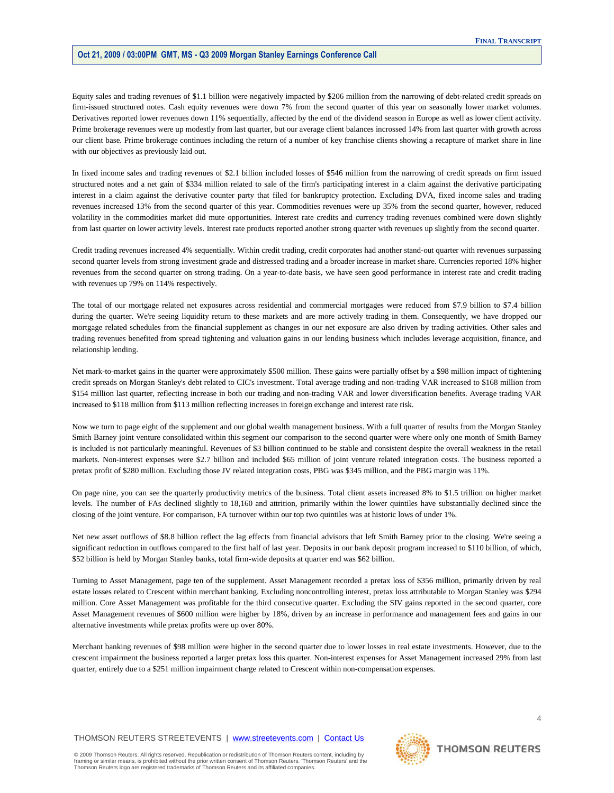Equity sales and trading revenues of \$1.1 billion were negatively impacted by \$206 million from the narrowing of debt-related credit spreads on firm-issued structured notes. Cash equity revenues were down 7% from the second quarter of this year on seasonally lower market volumes. Derivatives reported lower revenues down 11% sequentially, affected by the end of the dividend season in Europe as well as lower client activity. Prime brokerage revenues were up modestly from last quarter, but our average client balances incrossed 14% from last quarter with growth across our client base. Prime brokerage continues including the return of a number of key franchise clients showing a recapture of market share in line with our objectives as previously laid out.

In fixed income sales and trading revenues of \$2.1 billion included losses of \$546 million from the narrowing of credit spreads on firm issued structured notes and a net gain of \$334 million related to sale of the firm's participating interest in a claim against the derivative participating interest in a claim against the derivative counter party that filed for bankruptcy protection. Excluding DVA, fixed income sales and trading revenues increased 13% from the second quarter of this year. Commodities revenues were up 35% from the second quarter, however, reduced volatility in the commodities market did mute opportunities. Interest rate credits and currency trading revenues combined were down slightly from last quarter on lower activity levels. Interest rate products reported another strong quarter with revenues up slightly from the second quarter.

Credit trading revenues increased 4% sequentially. Within credit trading, credit corporates had another stand-out quarter with revenues surpassing second quarter levels from strong investment grade and distressed trading and a broader increase in market share. Currencies reported 18% higher revenues from the second quarter on strong trading. On a year-to-date basis, we have seen good performance in interest rate and credit trading with revenues up 79% on 114% respectively.

The total of our mortgage related net exposures across residential and commercial mortgages were reduced from \$7.9 billion to \$7.4 billion during the quarter. We're seeing liquidity return to these markets and are more actively trading in them. Consequently, we have dropped our mortgage related schedules from the financial supplement as changes in our net exposure are also driven by trading activities. Other sales and trading revenues benefited from spread tightening and valuation gains in our lending business which includes leverage acquisition, finance, and relationship lending.

Net mark-to-market gains in the quarter were approximately \$500 million. These gains were partially offset by a \$98 million impact of tightening credit spreads on Morgan Stanley's debt related to CIC's investment. Total average trading and non-trading VAR increased to \$168 million from \$154 million last quarter, reflecting increase in both our trading and non-trading VAR and lower diversification benefits. Average trading VAR increased to \$118 million from \$113 million reflecting increases in foreign exchange and interest rate risk.

Now we turn to page eight of the supplement and our global wealth management business. With a full quarter of results from the Morgan Stanley Smith Barney joint venture consolidated within this segment our comparison to the second quarter were where only one month of Smith Barney is included is not particularly meaningful. Revenues of \$3 billion continued to be stable and consistent despite the overall weakness in the retail markets. Non-interest expenses were \$2.7 billion and included \$65 million of joint venture related integration costs. The business reported a pretax profit of \$280 million. Excluding those JV related integration costs, PBG was \$345 million, and the PBG margin was 11%.

On page nine, you can see the quarterly productivity metrics of the business. Total client assets increased 8% to \$1.5 trillion on higher market levels. The number of FAs declined slightly to 18,160 and attrition, primarily within the lower quintiles have substantially declined since the closing of the joint venture. For comparison, FA turnover within our top two quintiles was at historic lows of under 1%.

Net new asset outflows of \$8.8 billion reflect the lag effects from financial advisors that left Smith Barney prior to the closing. We're seeing a significant reduction in outflows compared to the first half of last year. Deposits in our bank deposit program increased to \$110 billion, of which, \$52 billion is held by Morgan Stanley banks, total firm-wide deposits at quarter end was \$62 billion.

Turning to Asset Management, page ten of the supplement. Asset Management recorded a pretax loss of \$356 million, primarily driven by real estate losses related to Crescent within merchant banking. Excluding noncontrolling interest, pretax loss attributable to Morgan Stanley was \$294 million. Core Asset Management was profitable for the third consecutive quarter. Excluding the SIV gains reported in the second quarter, core Asset Management revenues of \$600 million were higher by 18%, driven by an increase in performance and management fees and gains in our alternative investments while pretax profits were up over 80%.

Merchant banking revenues of \$98 million were higher in the second quarter due to lower losses in real estate investments. However, due to the crescent impairment the business reported a larger pretax loss this quarter. Non-interest expenses for Asset Management increased 29% from last quarter, entirely due to a \$251 million impairment charge related to Crescent within non-compensation expenses.

# THOMSON REUTERS STREETEVENTS | www.streetevents.com | Contact Us

© 2009 Thomson Reuters. All rights reserved. Republication or redistribution of Thomson Reuters content, including by<br>framing or similar means, is prohibited without the prior written consent of Thomson Reuters. 'Thomson R Thomson Reuters logo are registered trademarks of Thomson Reuters and its affiliated companies.



4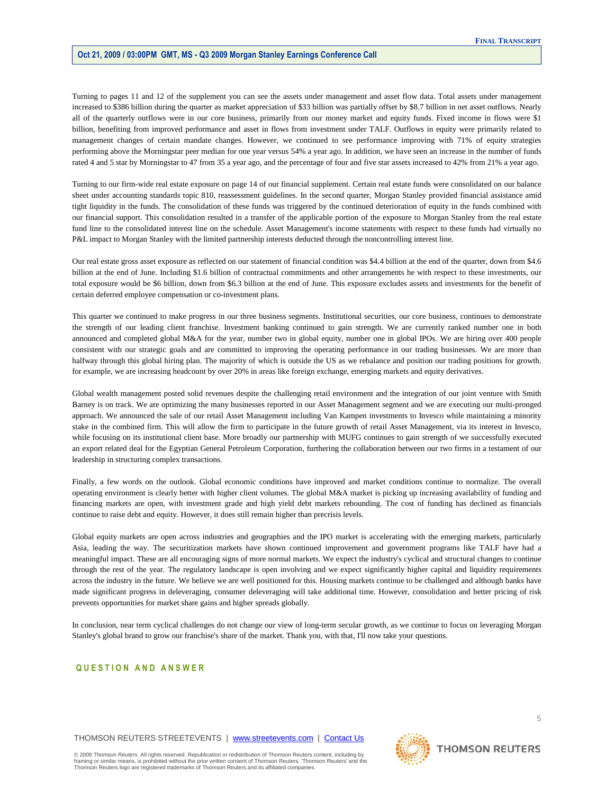Turning to pages 11 and 12 of the supplement you can see the assets under management and asset flow data. Total assets under management increased to \$386 billion during the quarter as market appreciation of \$33 billion was partially offset by \$8.7 billion in net asset outflows. Nearly all of the quarterly outflows were in our core business, primarily from our money market and equity funds. Fixed income in flows were \$1 billion, benefiting from improved performance and asset in flows from investment under TALF. Outflows in equity were primarily related to management changes of certain mandate changes. However, we continued to see performance improving with 71% of equity strategies performing above the Morningstar peer median for one year versus 54% a year ago. In addition, we have seen an increase in the number of funds rated 4 and 5 star by Morningstar to 47 from 35 a year ago, and the percentage of four and five star assets increased to 42% from 21% a year ago.

Turning to our firm-wide real estate exposure on page 14 of our financial supplement. Certain real estate funds were consolidated on our balance sheet under accounting standards topic 810, reassessment guidelines. In the second quarter, Morgan Stanley provided financial assistance amid tight liquidity in the funds. The consolidation of these funds was triggered by the continued deterioration of equity in the funds combined with our financial support. This consolidation resulted in a transfer of the applicable portion of the exposure to Morgan Stanley from the real estate fund line to the consolidated interest line on the schedule. Asset Management's income statements with respect to these funds had virtually no P&L impact to Morgan Stanley with the limited partnership interests deducted through the noncontrolling interest line.

Our real estate gross asset exposure as reflected on our statement of financial condition was \$4.4 billion at the end of the quarter, down from \$4.6 billion at the end of June. Including \$1.6 billion of contractual commitments and other arrangements he with respect to these investments, our total exposure would be \$6 billion, down from \$6.3 billion at the end of June. This exposure excludes assets and investments for the benefit of certain deferred employee compensation or co-investment plans.

This quarter we continued to make progress in our three business segments. Institutional securities, our core business, continues to demonstrate the strength of our leading client franchise. Investment banking continued to gain strength. We are currently ranked number one in both announced and completed global M&A for the year, number two in global equity, number one in global IPOs. We are hiring over 400 people consistent with our strategic goals and are committed to improving the operating performance in our trading businesses. We are more than halfway through this global hiring plan. The majority of which is outside the US as we rebalance and position our trading positions for growth. for example, we are increasing headcount by over 20% in areas like foreign exchange, emerging markets and equity derivatives.

Global wealth management posted solid revenues despite the challenging retail environment and the integration of our joint venture with Smith Barney is on track. We are optimizing the many businesses reported in our Asset Management segment and we are executing our multi-pronged approach. We announced the sale of our retail Asset Management including Van Kampen investments to Invesco while maintaining a minority stake in the combined firm. This will allow the firm to participate in the future growth of retail Asset Management, via its interest in Invesco, while focusing on its institutional client base. More broadly our partnership with MUFG continues to gain strength of we successfully executed an export related deal for the Egyptian General Petroleum Corporation, furthering the collaboration between our two firms in a testament of our leadership in structuring complex transactions.

Finally, a few words on the outlook. Global economic conditions have improved and market conditions continue to normalize. The overall operating environment is clearly better with higher client volumes. The global M&A market is picking up increasing availability of funding and financing markets are open, with investment grade and high yield debt markets rebounding. The cost of funding has declined as financials continue to raise debt and equity. However, it does still remain higher than precrisis levels.

Global equity markets are open across industries and geographies and the IPO market is accelerating with the emerging markets, particularly Asia, leading the way. The securitization markets have shown continued improvement and government programs like TALF have had a meaningful impact. These are all encouraging signs of more normal markets. We expect the industry's cyclical and structural changes to continue through the rest of the year. The regulatory landscape is open involving and we expect significantly higher capital and liquidity requirements across the industry in the future. We believe we are well positioned for this. Housing markets continue to be challenged and although banks have made significant progress in deleveraging, consumer deleveraging will take additional time. However, consolidation and better pricing of risk prevents opportunities for market share gains and higher spreads globally.

In conclusion, near term cyclical challenges do not change our view of long-term secular growth, as we continue to focus on leveraging Morgan Stanley's global brand to grow our franchise's share of the market. Thank you, with that, I'll now take your questions.

# QUESTION AND ANSWER

# THOMSON REUTERS STREETEVENTS | www.streetevents.com | Contact Us

© 2009 Thomson Reuters. All rights reserved. Republication or redistribution of Thomson Reuters content, including by<br>framing or similar means, is prohibited without the prior written consent of Thomson Reuters. 'Thomson R Thomson Reuters logo are registered trademarks of Thomson Reuters and its affiliated companies.

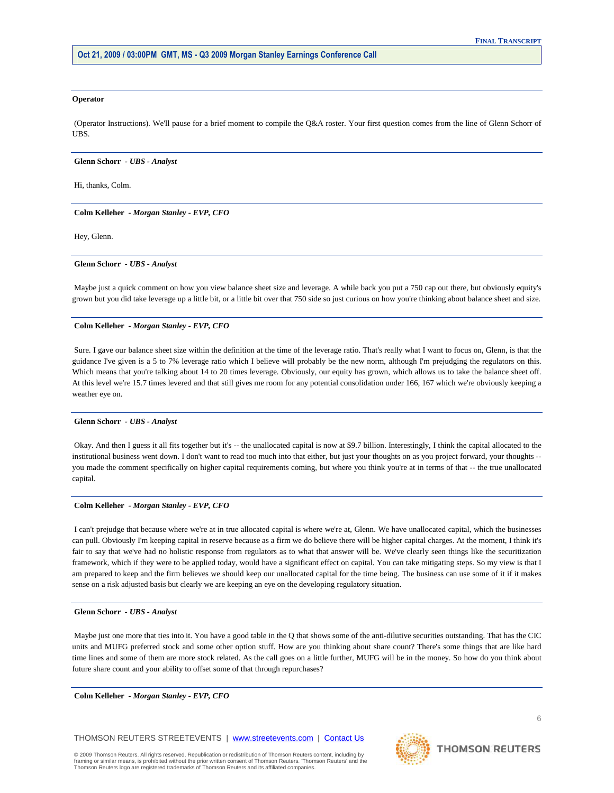#### **Operator**

 (Operator Instructions). We'll pause for a brief moment to compile the Q&A roster. Your first question comes from the line of Glenn Schorr of UBS.

#### **Glenn Schorr** *- UBS - Analyst*

Hi, thanks, Colm.

# **Colm Kelleher** *- Morgan Stanley - EVP, CFO*

Hey, Glenn.

# **Glenn Schorr** *- UBS - Analyst*

 Maybe just a quick comment on how you view balance sheet size and leverage. A while back you put a 750 cap out there, but obviously equity's grown but you did take leverage up a little bit, or a little bit over that 750 side so just curious on how you're thinking about balance sheet and size.

#### **Colm Kelleher** *- Morgan Stanley - EVP, CFO*

 Sure. I gave our balance sheet size within the definition at the time of the leverage ratio. That's really what I want to focus on, Glenn, is that the guidance I've given is a 5 to 7% leverage ratio which I believe will probably be the new norm, although I'm prejudging the regulators on this. Which means that you're talking about 14 to 20 times leverage. Obviously, our equity has grown, which allows us to take the balance sheet off. At this level we're 15.7 times levered and that still gives me room for any potential consolidation under 166, 167 which we're obviously keeping a weather eye on.

#### **Glenn Schorr** *- UBS - Analyst*

 Okay. And then I guess it all fits together but it's -- the unallocated capital is now at \$9.7 billion. Interestingly, I think the capital allocated to the institutional business went down. I don't want to read too much into that either, but just your thoughts on as you project forward, your thoughts - you made the comment specifically on higher capital requirements coming, but where you think you're at in terms of that -- the true unallocated capital.

# **Colm Kelleher** *- Morgan Stanley - EVP, CFO*

 I can't prejudge that because where we're at in true allocated capital is where we're at, Glenn. We have unallocated capital, which the businesses can pull. Obviously I'm keeping capital in reserve because as a firm we do believe there will be higher capital charges. At the moment, I think it's fair to say that we've had no holistic response from regulators as to what that answer will be. We've clearly seen things like the securitization framework, which if they were to be applied today, would have a significant effect on capital. You can take mitigating steps. So my view is that I am prepared to keep and the firm believes we should keep our unallocated capital for the time being. The business can use some of it if it makes sense on a risk adjusted basis but clearly we are keeping an eye on the developing regulatory situation.

#### **Glenn Schorr** *- UBS - Analyst*

 Maybe just one more that ties into it. You have a good table in the Q that shows some of the anti-dilutive securities outstanding. That has the CIC units and MUFG preferred stock and some other option stuff. How are you thinking about share count? There's some things that are like hard time lines and some of them are more stock related. As the call goes on a little further, MUFG will be in the money. So how do you think about future share count and your ability to offset some of that through repurchases?

 **Colm Kelleher** *- Morgan Stanley - EVP, CFO* 

# THOMSON REUTERS STREETEVENTS | www.streetevents.com | Contact Us

© 2009 Thomson Reuters. All rights reserved. Republication or redistribution of Thomson Reuters content, including by<br>framing or similar means, is prohibited without the prior written consent of Thomson Reuters. 'Thomson R Thomson Reuters logo are registered trademarks of Thomson Reuters and its affiliated companies.

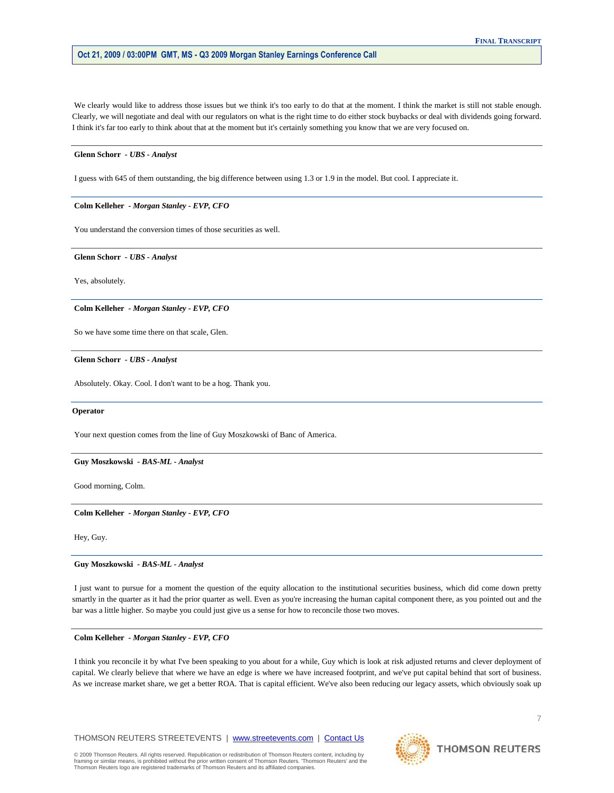We clearly would like to address those issues but we think it's too early to do that at the moment. I think the market is still not stable enough. Clearly, we will negotiate and deal with our regulators on what is the right time to do either stock buybacks or deal with dividends going forward. I think it's far too early to think about that at the moment but it's certainly something you know that we are very focused on.

# **Glenn Schorr** *- UBS - Analyst*

I guess with 645 of them outstanding, the big difference between using 1.3 or 1.9 in the model. But cool. I appreciate it.

# **Colm Kelleher** *- Morgan Stanley - EVP, CFO*

You understand the conversion times of those securities as well.

 **Glenn Schorr** *- UBS - Analyst* 

Yes, absolutely.

 **Colm Kelleher** *- Morgan Stanley - EVP, CFO* 

So we have some time there on that scale, Glen.

 **Glenn Schorr** *- UBS - Analyst* 

Absolutely. Okay. Cool. I don't want to be a hog. Thank you.

# **Operator**

Your next question comes from the line of Guy Moszkowski of Banc of America.

# **Guy Moszkowski** *- BAS-ML - Analyst*

Good morning, Colm.

 **Colm Kelleher** *- Morgan Stanley - EVP, CFO* 

Hey, Guy.

 **Guy Moszkowski** *- BAS-ML - Analyst* 

 I just want to pursue for a moment the question of the equity allocation to the institutional securities business, which did come down pretty smartly in the quarter as it had the prior quarter as well. Even as you're increasing the human capital component there, as you pointed out and the bar was a little higher. So maybe you could just give us a sense for how to reconcile those two moves.

# **Colm Kelleher** *- Morgan Stanley - EVP, CFO*

 I think you reconcile it by what I've been speaking to you about for a while, Guy which is look at risk adjusted returns and clever deployment of capital. We clearly believe that where we have an edge is where we have increased footprint, and we've put capital behind that sort of business. As we increase market share, we get a better ROA. That is capital efficient. We've also been reducing our legacy assets, which obviously soak up

THOMSON REUTERS STREETEVENTS | www.streetevents.com | Contact Us



# **THOMSON REUTERS**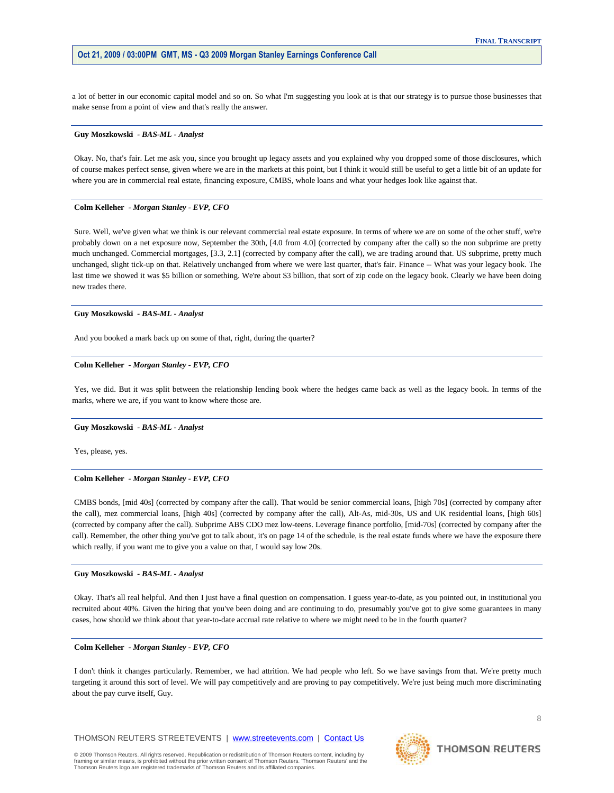a lot of better in our economic capital model and so on. So what I'm suggesting you look at is that our strategy is to pursue those businesses that make sense from a point of view and that's really the answer.

#### **Guy Moszkowski** *- BAS-ML - Analyst*

 Okay. No, that's fair. Let me ask you, since you brought up legacy assets and you explained why you dropped some of those disclosures, which of course makes perfect sense, given where we are in the markets at this point, but I think it would still be useful to get a little bit of an update for where you are in commercial real estate, financing exposure, CMBS, whole loans and what your hedges look like against that.

# **Colm Kelleher** *- Morgan Stanley - EVP, CFO*

 Sure. Well, we've given what we think is our relevant commercial real estate exposure. In terms of where we are on some of the other stuff, we're probably down on a net exposure now, September the 30th, [4.0 from 4.0] (corrected by company after the call) so the non subprime are pretty much unchanged. Commercial mortgages, [3.3, 2.1] (corrected by company after the call), we are trading around that. US subprime, pretty much unchanged, slight tick-up on that. Relatively unchanged from where we were last quarter, that's fair. Finance -- What was your legacy book. The last time we showed it was \$5 billion or something. We're about \$3 billion, that sort of zip code on the legacy book. Clearly we have been doing new trades there.

# **Guy Moszkowski** *- BAS-ML - Analyst*

And you booked a mark back up on some of that, right, during the quarter?

# **Colm Kelleher** *- Morgan Stanley - EVP, CFO*

 Yes, we did. But it was split between the relationship lending book where the hedges came back as well as the legacy book. In terms of the marks, where we are, if you want to know where those are.

# **Guy Moszkowski** *- BAS-ML - Analyst*

Yes, please, yes.

# **Colm Kelleher** *- Morgan Stanley - EVP, CFO*

 CMBS bonds, [mid 40s] (corrected by company after the call). That would be senior commercial loans, [high 70s] (corrected by company after the call), mez commercial loans, [high 40s] (corrected by company after the call), Alt-As, mid-30s, US and UK residential loans, [high 60s] (corrected by company after the call). Subprime ABS CDO mez low-teens. Leverage finance portfolio, [mid-70s] (corrected by company after the call). Remember, the other thing you've got to talk about, it's on page 14 of the schedule, is the real estate funds where we have the exposure there which really, if you want me to give you a value on that, I would say low 20s.

# **Guy Moszkowski** *- BAS-ML - Analyst*

 Okay. That's all real helpful. And then I just have a final question on compensation. I guess year-to-date, as you pointed out, in institutional you recruited about 40%. Given the hiring that you've been doing and are continuing to do, presumably you've got to give some guarantees in many cases, how should we think about that year-to-date accrual rate relative to where we might need to be in the fourth quarter?

#### **Colm Kelleher** *- Morgan Stanley - EVP, CFO*

 I don't think it changes particularly. Remember, we had attrition. We had people who left. So we have savings from that. We're pretty much targeting it around this sort of level. We will pay competitively and are proving to pay competitively. We're just being much more discriminating about the pay curve itself, Guy.

THOMSON REUTERS STREETEVENTS | www.streetevents.com | Contact Us

© 2009 Thomson Reuters. All rights reserved. Republication or redistribution of Thomson Reuters content, including by<br>framing or similar means, is prohibited without the prior written consent of Thomson Reuters. 'Thomson R Thomson Reuters logo are registered trademarks of Thomson Reuters and its affiliated companies.

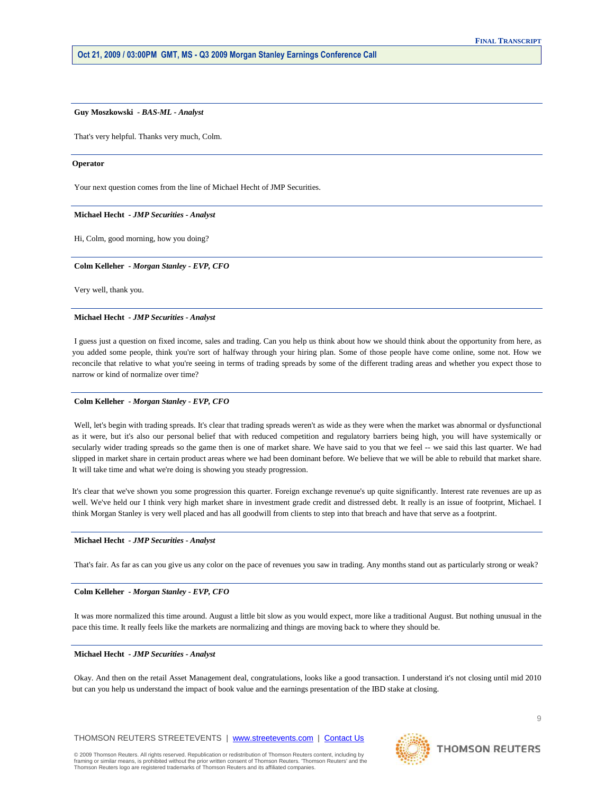#### **Guy Moszkowski** *- BAS-ML - Analyst*

That's very helpful. Thanks very much, Colm.

# **Operator**

Your next question comes from the line of Michael Hecht of JMP Securities.

# **Michael Hecht** *- JMP Securities - Analyst*

Hi, Colm, good morning, how you doing?

#### **Colm Kelleher** *- Morgan Stanley - EVP, CFO*

Very well, thank you.

# **Michael Hecht** *- JMP Securities - Analyst*

 I guess just a question on fixed income, sales and trading. Can you help us think about how we should think about the opportunity from here, as you added some people, think you're sort of halfway through your hiring plan. Some of those people have come online, some not. How we reconcile that relative to what you're seeing in terms of trading spreads by some of the different trading areas and whether you expect those to narrow or kind of normalize over time?

# **Colm Kelleher** *- Morgan Stanley - EVP, CFO*

 Well, let's begin with trading spreads. It's clear that trading spreads weren't as wide as they were when the market was abnormal or dysfunctional as it were, but it's also our personal belief that with reduced competition and regulatory barriers being high, you will have systemically or secularly wider trading spreads so the game then is one of market share. We have said to you that we feel -- we said this last quarter. We had slipped in market share in certain product areas where we had been dominant before. We believe that we will be able to rebuild that market share. It will take time and what we're doing is showing you steady progression.

It's clear that we've shown you some progression this quarter. Foreign exchange revenue's up quite significantly. Interest rate revenues are up as well. We've held our I think very high market share in investment grade credit and distressed debt. It really is an issue of footprint, Michael. I think Morgan Stanley is very well placed and has all goodwill from clients to step into that breach and have that serve as a footprint.

# **Michael Hecht** *- JMP Securities - Analyst*

That's fair. As far as can you give us any color on the pace of revenues you saw in trading. Any months stand out as particularly strong or weak?

# **Colm Kelleher** *- Morgan Stanley - EVP, CFO*

 It was more normalized this time around. August a little bit slow as you would expect, more like a traditional August. But nothing unusual in the pace this time. It really feels like the markets are normalizing and things are moving back to where they should be.

# **Michael Hecht** *- JMP Securities - Analyst*

 Okay. And then on the retail Asset Management deal, congratulations, looks like a good transaction. I understand it's not closing until mid 2010 but can you help us understand the impact of book value and the earnings presentation of the IBD stake at closing.

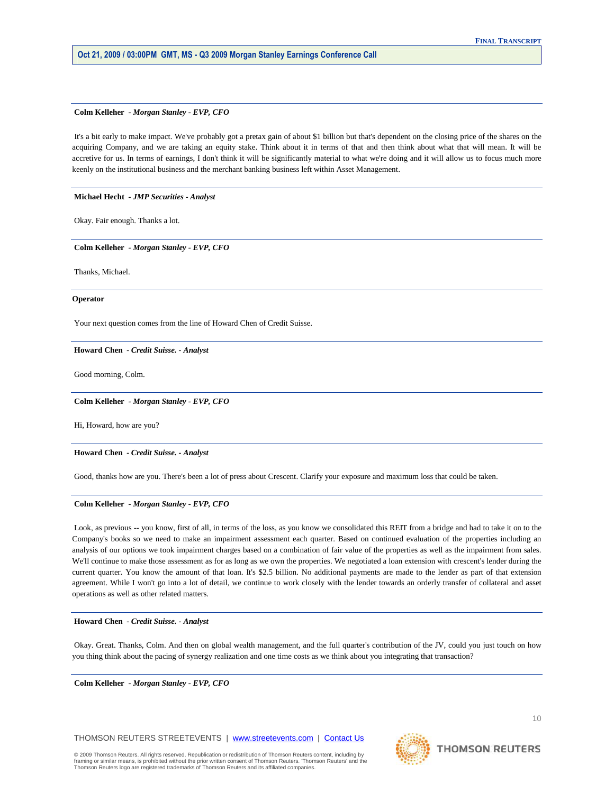#### **Colm Kelleher** *- Morgan Stanley - EVP, CFO*

 It's a bit early to make impact. We've probably got a pretax gain of about \$1 billion but that's dependent on the closing price of the shares on the acquiring Company, and we are taking an equity stake. Think about it in terms of that and then think about what that will mean. It will be accretive for us. In terms of earnings, I don't think it will be significantly material to what we're doing and it will allow us to focus much more keenly on the institutional business and the merchant banking business left within Asset Management.

# **Michael Hecht** *- JMP Securities - Analyst*

Okay. Fair enough. Thanks a lot.

 **Colm Kelleher** *- Morgan Stanley - EVP, CFO* 

Thanks, Michael.

#### **Operator**

Your next question comes from the line of Howard Chen of Credit Suisse.

 **Howard Chen** *- Credit Suisse. - Analyst* 

Good morning, Colm.

 **Colm Kelleher** *- Morgan Stanley - EVP, CFO* 

Hi, Howard, how are you?

 **Howard Chen** *- Credit Suisse. - Analyst* 

Good, thanks how are you. There's been a lot of press about Crescent. Clarify your exposure and maximum loss that could be taken.

#### **Colm Kelleher** *- Morgan Stanley - EVP, CFO*

Look, as previous -- you know, first of all, in terms of the loss, as you know we consolidated this REIT from a bridge and had to take it on to the Company's books so we need to make an impairment assessment each quarter. Based on continued evaluation of the properties including an analysis of our options we took impairment charges based on a combination of fair value of the properties as well as the impairment from sales. We'll continue to make those assessment as for as long as we own the properties. We negotiated a loan extension with crescent's lender during the current quarter. You know the amount of that loan. It's \$2.5 billion. No additional payments are made to the lender as part of that extension agreement. While I won't go into a lot of detail, we continue to work closely with the lender towards an orderly transfer of collateral and asset operations as well as other related matters.

# **Howard Chen** *- Credit Suisse. - Analyst*

 Okay. Great. Thanks, Colm. And then on global wealth management, and the full quarter's contribution of the JV, could you just touch on how you thing think about the pacing of synergy realization and one time costs as we think about you integrating that transaction?

 **Colm Kelleher** *- Morgan Stanley - EVP, CFO* 

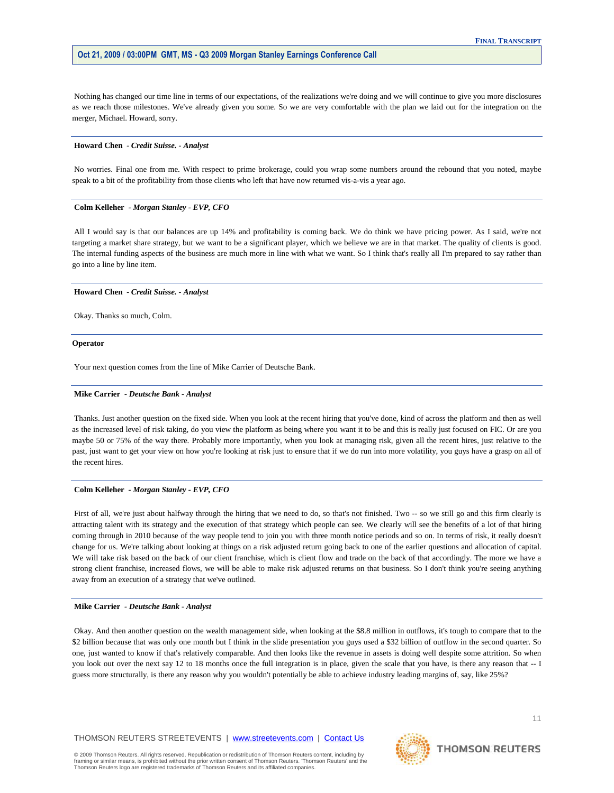Nothing has changed our time line in terms of our expectations, of the realizations we're doing and we will continue to give you more disclosures as we reach those milestones. We've already given you some. So we are very comfortable with the plan we laid out for the integration on the merger, Michael. Howard, sorry.

#### **Howard Chen** *- Credit Suisse. - Analyst*

 No worries. Final one from me. With respect to prime brokerage, could you wrap some numbers around the rebound that you noted, maybe speak to a bit of the profitability from those clients who left that have now returned vis-a-vis a year ago.

# **Colm Kelleher** *- Morgan Stanley - EVP, CFO*

 All I would say is that our balances are up 14% and profitability is coming back. We do think we have pricing power. As I said, we're not targeting a market share strategy, but we want to be a significant player, which we believe we are in that market. The quality of clients is good. The internal funding aspects of the business are much more in line with what we want. So I think that's really all I'm prepared to say rather than go into a line by line item.

# **Howard Chen** *- Credit Suisse. - Analyst*

Okay. Thanks so much, Colm.

#### **Operator**

Your next question comes from the line of Mike Carrier of Deutsche Bank.

# **Mike Carrier** *- Deutsche Bank - Analyst*

 Thanks. Just another question on the fixed side. When you look at the recent hiring that you've done, kind of across the platform and then as well as the increased level of risk taking, do you view the platform as being where you want it to be and this is really just focused on FIC. Or are you maybe 50 or 75% of the way there. Probably more importantly, when you look at managing risk, given all the recent hires, just relative to the past, just want to get your view on how you're looking at risk just to ensure that if we do run into more volatility, you guys have a grasp on all of the recent hires.

# **Colm Kelleher** *- Morgan Stanley - EVP, CFO*

First of all, we're just about halfway through the hiring that we need to do, so that's not finished. Two -- so we still go and this firm clearly is attracting talent with its strategy and the execution of that strategy which people can see. We clearly will see the benefits of a lot of that hiring coming through in 2010 because of the way people tend to join you with three month notice periods and so on. In terms of risk, it really doesn't change for us. We're talking about looking at things on a risk adjusted return going back to one of the earlier questions and allocation of capital. We will take risk based on the back of our client franchise, which is client flow and trade on the back of that accordingly. The more we have a strong client franchise, increased flows, we will be able to make risk adjusted returns on that business. So I don't think you're seeing anything away from an execution of a strategy that we've outlined.

#### **Mike Carrier** *- Deutsche Bank - Analyst*

 Okay. And then another question on the wealth management side, when looking at the \$8.8 million in outflows, it's tough to compare that to the \$2 billion because that was only one month but I think in the slide presentation you guys used a \$32 billion of outflow in the second quarter. So one, just wanted to know if that's relatively comparable. And then looks like the revenue in assets is doing well despite some attrition. So when you look out over the next say 12 to 18 months once the full integration is in place, given the scale that you have, is there any reason that -- I guess more structurally, is there any reason why you wouldn't potentially be able to achieve industry leading margins of, say, like 25%?



**THOMSON REUTERS**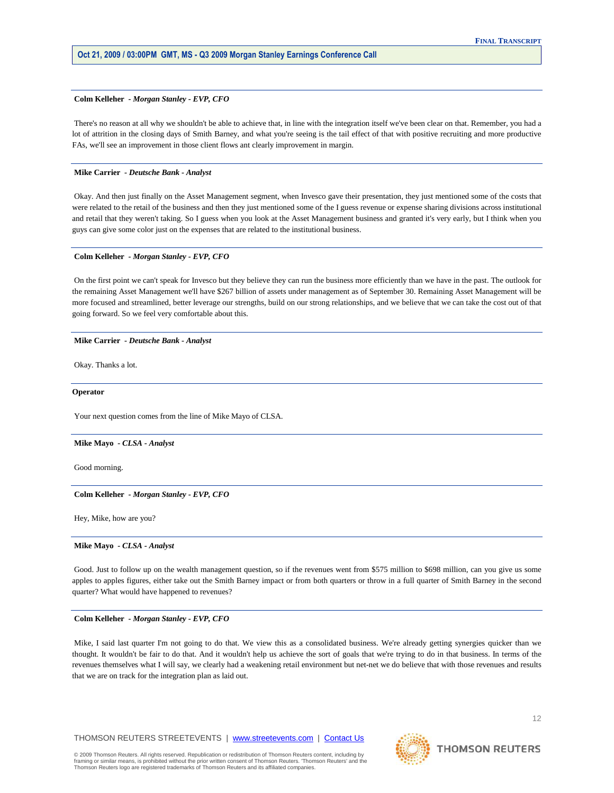#### **Colm Kelleher** *- Morgan Stanley - EVP, CFO*

 There's no reason at all why we shouldn't be able to achieve that, in line with the integration itself we've been clear on that. Remember, you had a lot of attrition in the closing days of Smith Barney, and what you're seeing is the tail effect of that with positive recruiting and more productive FAs, we'll see an improvement in those client flows ant clearly improvement in margin.

# **Mike Carrier** *- Deutsche Bank - Analyst*

 Okay. And then just finally on the Asset Management segment, when Invesco gave their presentation, they just mentioned some of the costs that were related to the retail of the business and then they just mentioned some of the I guess revenue or expense sharing divisions across institutional and retail that they weren't taking. So I guess when you look at the Asset Management business and granted it's very early, but I think when you guys can give some color just on the expenses that are related to the institutional business.

#### **Colm Kelleher** *- Morgan Stanley - EVP, CFO*

 On the first point we can't speak for Invesco but they believe they can run the business more efficiently than we have in the past. The outlook for the remaining Asset Management we'll have \$267 billion of assets under management as of September 30. Remaining Asset Management will be more focused and streamlined, better leverage our strengths, build on our strong relationships, and we believe that we can take the cost out of that going forward. So we feel very comfortable about this.

### **Mike Carrier** *- Deutsche Bank - Analyst*

Okay. Thanks a lot.

**Operator**

Your next question comes from the line of Mike Mayo of CLSA.

#### **Mike Mayo** *- CLSA - Analyst*

Good morning.

 **Colm Kelleher** *- Morgan Stanley - EVP, CFO* 

Hey, Mike, how are you?

#### **Mike Mayo** *- CLSA - Analyst*

Good. Just to follow up on the wealth management question, so if the revenues went from \$575 million to \$698 million, can you give us some apples to apples figures, either take out the Smith Barney impact or from both quarters or throw in a full quarter of Smith Barney in the second quarter? What would have happened to revenues?

#### **Colm Kelleher** *- Morgan Stanley - EVP, CFO*

 Mike, I said last quarter I'm not going to do that. We view this as a consolidated business. We're already getting synergies quicker than we thought. It wouldn't be fair to do that. And it wouldn't help us achieve the sort of goals that we're trying to do in that business. In terms of the revenues themselves what I will say, we clearly had a weakening retail environment but net-net we do believe that with those revenues and results that we are on track for the integration plan as laid out.

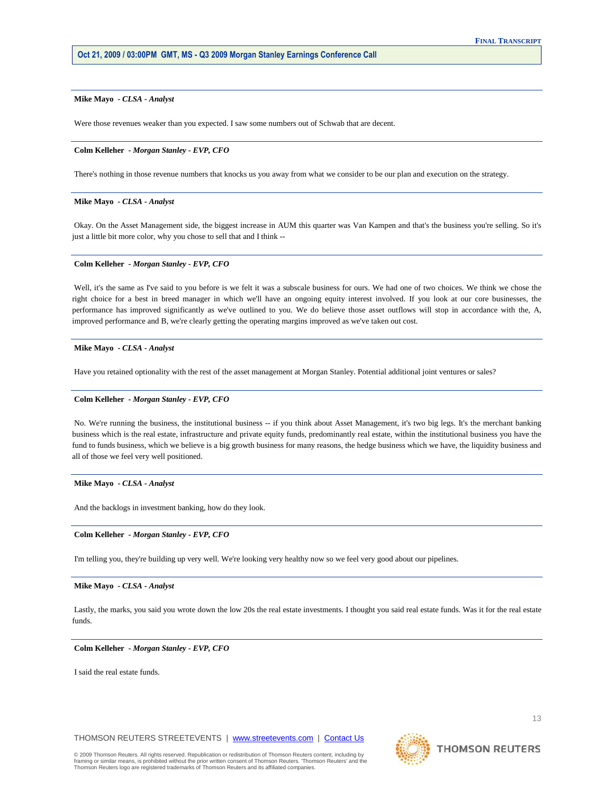# **Mike Mayo** *- CLSA - Analyst*

Were those revenues weaker than you expected. I saw some numbers out of Schwab that are decent.

### **Colm Kelleher** *- Morgan Stanley - EVP, CFO*

There's nothing in those revenue numbers that knocks us you away from what we consider to be our plan and execution on the strategy.

# **Mike Mayo** *- CLSA - Analyst*

 Okay. On the Asset Management side, the biggest increase in AUM this quarter was Van Kampen and that's the business you're selling. So it's just a little bit more color, why you chose to sell that and I think --

# **Colm Kelleher** *- Morgan Stanley - EVP, CFO*

Well, it's the same as I've said to you before is we felt it was a subscale business for ours. We had one of two choices. We think we chose the right choice for a best in breed manager in which we'll have an ongoing equity interest involved. If you look at our core businesses, the performance has improved significantly as we've outlined to you. We do believe those asset outflows will stop in accordance with the, A, improved performance and B, we're clearly getting the operating margins improved as we've taken out cost.

#### **Mike Mayo** *- CLSA - Analyst*

Have you retained optionality with the rest of the asset management at Morgan Stanley. Potential additional joint ventures or sales?

#### **Colm Kelleher** *- Morgan Stanley - EVP, CFO*

 No. We're running the business, the institutional business -- if you think about Asset Management, it's two big legs. It's the merchant banking business which is the real estate, infrastructure and private equity funds, predominantly real estate, within the institutional business you have the fund to funds business, which we believe is a big growth business for many reasons, the hedge business which we have, the liquidity business and all of those we feel very well positioned.

# **Mike Mayo** *- CLSA - Analyst*

And the backlogs in investment banking, how do they look.

# **Colm Kelleher** *- Morgan Stanley - EVP, CFO*

I'm telling you, they're building up very well. We're looking very healthy now so we feel very good about our pipelines.

#### **Mike Mayo** *- CLSA - Analyst*

 Lastly, the marks, you said you wrote down the low 20s the real estate investments. I thought you said real estate funds. Was it for the real estate funds.

# **Colm Kelleher** *- Morgan Stanley - EVP, CFO*

I said the real estate funds.

THOMSON REUTERS STREETEVENTS | www.streetevents.com | Contact Us

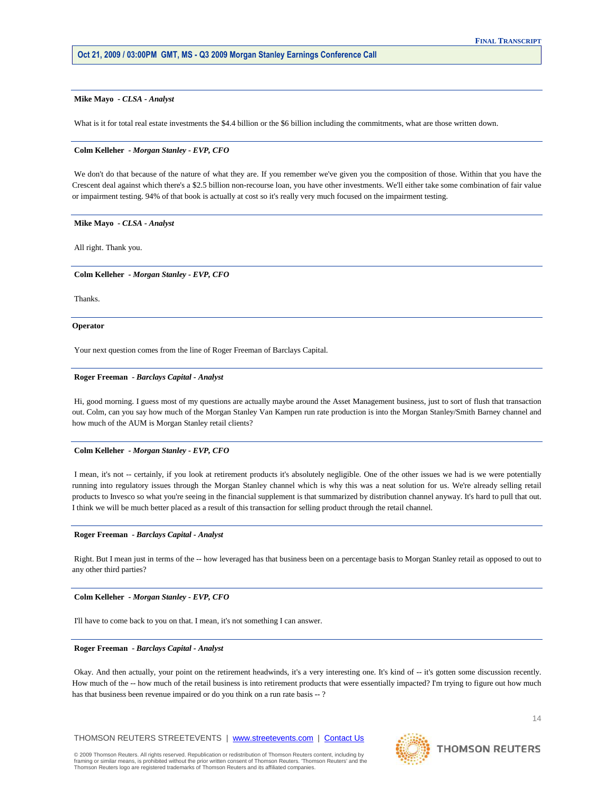# **Mike Mayo** *- CLSA - Analyst*

What is it for total real estate investments the \$4.4 billion or the \$6 billion including the commitments, what are those written down.

#### **Colm Kelleher** *- Morgan Stanley - EVP, CFO*

 We don't do that because of the nature of what they are. If you remember we've given you the composition of those. Within that you have the Crescent deal against which there's a \$2.5 billion non-recourse loan, you have other investments. We'll either take some combination of fair value or impairment testing. 94% of that book is actually at cost so it's really very much focused on the impairment testing.

#### **Mike Mayo** *- CLSA - Analyst*

All right. Thank you.

# **Colm Kelleher** *- Morgan Stanley - EVP, CFO*

Thanks.

#### **Operator**

Your next question comes from the line of Roger Freeman of Barclays Capital.

#### **Roger Freeman** *- Barclays Capital - Analyst*

 Hi, good morning. I guess most of my questions are actually maybe around the Asset Management business, just to sort of flush that transaction out. Colm, can you say how much of the Morgan Stanley Van Kampen run rate production is into the Morgan Stanley/Smith Barney channel and how much of the AUM is Morgan Stanley retail clients?

#### **Colm Kelleher** *- Morgan Stanley - EVP, CFO*

 I mean, it's not -- certainly, if you look at retirement products it's absolutely negligible. One of the other issues we had is we were potentially running into regulatory issues through the Morgan Stanley channel which is why this was a neat solution for us. We're already selling retail products to Invesco so what you're seeing in the financial supplement is that summarized by distribution channel anyway. It's hard to pull that out. I think we will be much better placed as a result of this transaction for selling product through the retail channel.

#### **Roger Freeman** *- Barclays Capital - Analyst*

 Right. But I mean just in terms of the -- how leveraged has that business been on a percentage basis to Morgan Stanley retail as opposed to out to any other third parties?

 **Colm Kelleher** *- Morgan Stanley - EVP, CFO* 

I'll have to come back to you on that. I mean, it's not something I can answer.

# **Roger Freeman** *- Barclays Capital - Analyst*

 Okay. And then actually, your point on the retirement headwinds, it's a very interesting one. It's kind of -- it's gotten some discussion recently. How much of the -- how much of the retail business is into retirement products that were essentially impacted? I'm trying to figure out how much has that business been revenue impaired or do you think on a run rate basis --?



Thomson Reuters logo are registered trademarks of Thomson Reuters and its affiliated companies.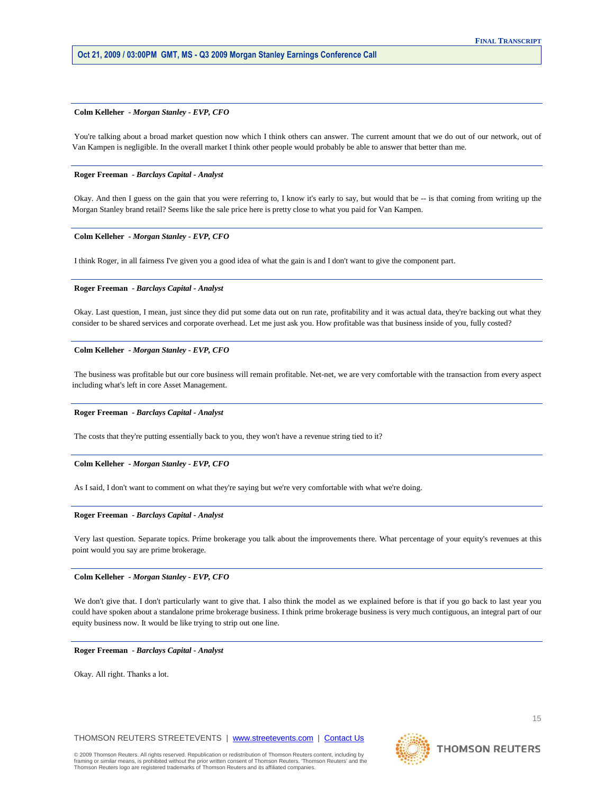#### **Colm Kelleher** *- Morgan Stanley - EVP, CFO*

You're talking about a broad market question now which I think others can answer. The current amount that we do out of our network, out of Van Kampen is negligible. In the overall market I think other people would probably be able to answer that better than me.

# **Roger Freeman** *- Barclays Capital - Analyst*

 Okay. And then I guess on the gain that you were referring to, I know it's early to say, but would that be -- is that coming from writing up the Morgan Stanley brand retail? Seems like the sale price here is pretty close to what you paid for Van Kampen.

# **Colm Kelleher** *- Morgan Stanley - EVP, CFO*

I think Roger, in all fairness I've given you a good idea of what the gain is and I don't want to give the component part.

# **Roger Freeman** *- Barclays Capital - Analyst*

 Okay. Last question, I mean, just since they did put some data out on run rate, profitability and it was actual data, they're backing out what they consider to be shared services and corporate overhead. Let me just ask you. How profitable was that business inside of you, fully costed?

# **Colm Kelleher** *- Morgan Stanley - EVP, CFO*

 The business was profitable but our core business will remain profitable. Net-net, we are very comfortable with the transaction from every aspect including what's left in core Asset Management.

#### **Roger Freeman** *- Barclays Capital - Analyst*

The costs that they're putting essentially back to you, they won't have a revenue string tied to it?

#### **Colm Kelleher** *- Morgan Stanley - EVP, CFO*

As I said, I don't want to comment on what they're saying but we're very comfortable with what we're doing.

#### **Roger Freeman** *- Barclays Capital - Analyst*

 Very last question. Separate topics. Prime brokerage you talk about the improvements there. What percentage of your equity's revenues at this point would you say are prime brokerage.

# **Colm Kelleher** *- Morgan Stanley - EVP, CFO*

 We don't give that. I don't particularly want to give that. I also think the model as we explained before is that if you go back to last year you could have spoken about a standalone prime brokerage business. I think prime brokerage business is very much contiguous, an integral part of our equity business now. It would be like trying to strip out one line.

 **Roger Freeman** *- Barclays Capital - Analyst* 

Okay. All right. Thanks a lot.

THOMSON REUTERS STREETEVENTS | www.streetevents.com | Contact Us



**THOMSON REUTERS**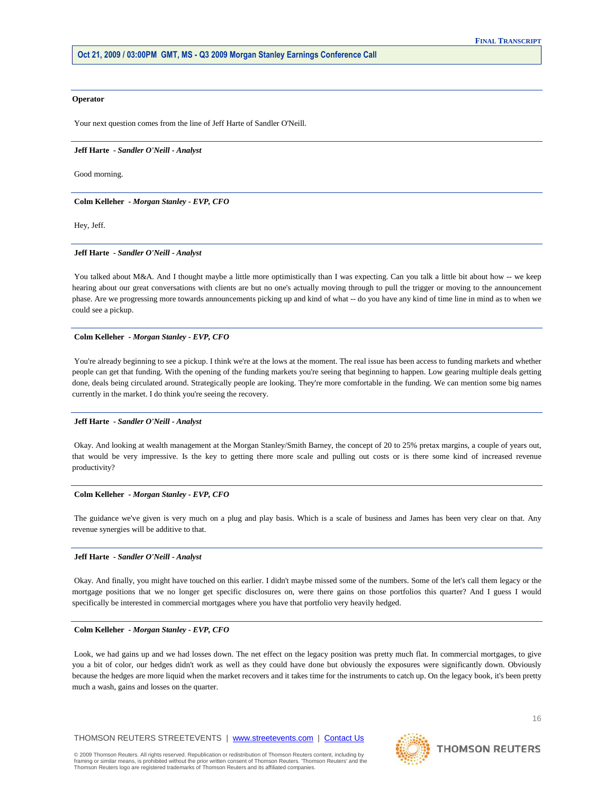#### **Operator**

Your next question comes from the line of Jeff Harte of Sandler O'Neill.

#### **Jeff Harte** *- Sandler O'Neill - Analyst*

Good morning.

 **Colm Kelleher** *- Morgan Stanley - EVP, CFO* 

Hey, Jeff.

#### **Jeff Harte** *- Sandler O'Neill - Analyst*

You talked about M&A. And I thought maybe a little more optimistically than I was expecting. Can you talk a little bit about how -- we keep hearing about our great conversations with clients are but no one's actually moving through to pull the trigger or moving to the announcement phase. Are we progressing more towards announcements picking up and kind of what -- do you have any kind of time line in mind as to when we could see a pickup.

#### **Colm Kelleher** *- Morgan Stanley - EVP, CFO*

You're already beginning to see a pickup. I think we're at the lows at the moment. The real issue has been access to funding markets and whether people can get that funding. With the opening of the funding markets you're seeing that beginning to happen. Low gearing multiple deals getting done, deals being circulated around. Strategically people are looking. They're more comfortable in the funding. We can mention some big names currently in the market. I do think you're seeing the recovery.

#### **Jeff Harte** *- Sandler O'Neill - Analyst*

 Okay. And looking at wealth management at the Morgan Stanley/Smith Barney, the concept of 20 to 25% pretax margins, a couple of years out, that would be very impressive. Is the key to getting there more scale and pulling out costs or is there some kind of increased revenue productivity?

# **Colm Kelleher** *- Morgan Stanley - EVP, CFO*

 The guidance we've given is very much on a plug and play basis. Which is a scale of business and James has been very clear on that. Any revenue synergies will be additive to that.

#### **Jeff Harte** *- Sandler O'Neill - Analyst*

 Okay. And finally, you might have touched on this earlier. I didn't maybe missed some of the numbers. Some of the let's call them legacy or the mortgage positions that we no longer get specific disclosures on, were there gains on those portfolios this quarter? And I guess I would specifically be interested in commercial mortgages where you have that portfolio very heavily hedged.

#### **Colm Kelleher** *- Morgan Stanley - EVP, CFO*

 Look, we had gains up and we had losses down. The net effect on the legacy position was pretty much flat. In commercial mortgages, to give you a bit of color, our hedges didn't work as well as they could have done but obviously the exposures were significantly down. Obviously because the hedges are more liquid when the market recovers and it takes time for the instruments to catch up. On the legacy book, it's been pretty much a wash, gains and losses on the quarter.



16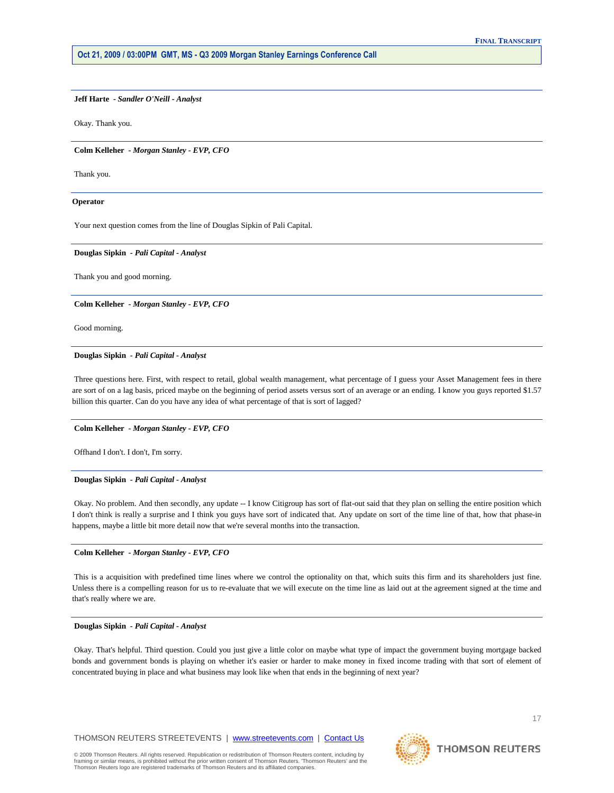# **Jeff Harte** *- Sandler O'Neill - Analyst*

Okay. Thank you.

#### **Colm Kelleher** *- Morgan Stanley - EVP, CFO*

Thank you.

#### **Operator**

Your next question comes from the line of Douglas Sipkin of Pali Capital.

# **Douglas Sipkin** *- Pali Capital - Analyst*

Thank you and good morning.

# **Colm Kelleher** *- Morgan Stanley - EVP, CFO*

Good morning.

#### **Douglas Sipkin** *- Pali Capital - Analyst*

 Three questions here. First, with respect to retail, global wealth management, what percentage of I guess your Asset Management fees in there are sort of on a lag basis, priced maybe on the beginning of period assets versus sort of an average or an ending. I know you guys reported \$1.57 billion this quarter. Can do you have any idea of what percentage of that is sort of lagged?

# **Colm Kelleher** *- Morgan Stanley - EVP, CFO*

Offhand I don't. I don't, I'm sorry.

# **Douglas Sipkin** *- Pali Capital - Analyst*

 Okay. No problem. And then secondly, any update -- I know Citigroup has sort of flat-out said that they plan on selling the entire position which I don't think is really a surprise and I think you guys have sort of indicated that. Any update on sort of the time line of that, how that phase-in happens, maybe a little bit more detail now that we're several months into the transaction.

# **Colm Kelleher** *- Morgan Stanley - EVP, CFO*

 This is a acquisition with predefined time lines where we control the optionality on that, which suits this firm and its shareholders just fine. Unless there is a compelling reason for us to re-evaluate that we will execute on the time line as laid out at the agreement signed at the time and that's really where we are.

# **Douglas Sipkin** *- Pali Capital - Analyst*

 Okay. That's helpful. Third question. Could you just give a little color on maybe what type of impact the government buying mortgage backed bonds and government bonds is playing on whether it's easier or harder to make money in fixed income trading with that sort of element of concentrated buying in place and what business may look like when that ends in the beginning of next year?

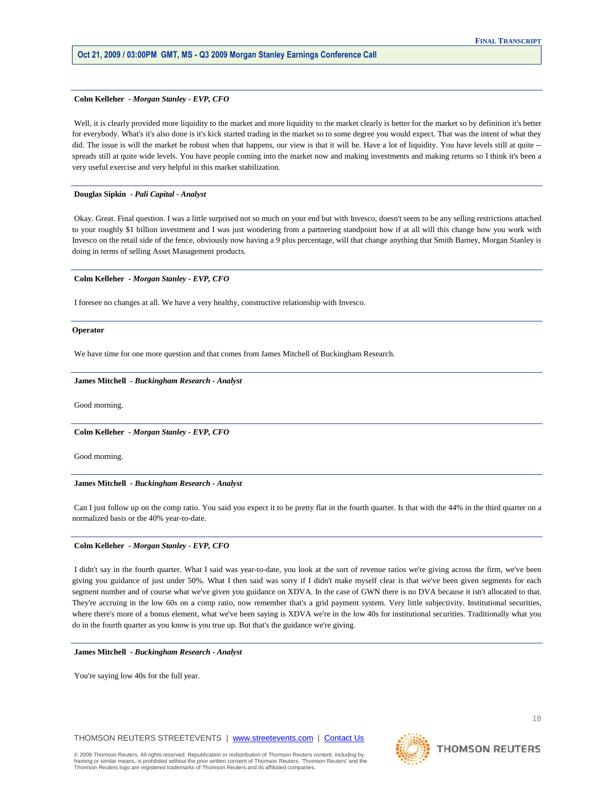#### **Colm Kelleher** *- Morgan Stanley - EVP, CFO*

 Well, it is clearly provided more liquidity to the market and more liquidity to the market clearly is better for the market so by definition it's better for everybody. What's it's also done is it's kick started trading in the market so to some degree you would expect. That was the intent of what they did. The issue is will the market be robust when that happens, our view is that it will be. Have a lot of liquidity. You have levels still at quite -spreads still at quite wide levels. You have people coming into the market now and making investments and making returns so I think it's been a very useful exercise and very helpful in this market stabilization.

#### **Douglas Sipkin** *- Pali Capital - Analyst*

 Okay. Great. Final question. I was a little surprised not so much on your end but with Invesco, doesn't seem to be any selling restrictions attached to your roughly \$1 billion investment and I was just wondering from a partnering standpoint how if at all will this change how you work with Invesco on the retail side of the fence, obviously now having a 9 plus percentage, will that change anything that Smith Barney, Morgan Stanley is doing in terms of selling Asset Management products.

# **Colm Kelleher** *- Morgan Stanley - EVP, CFO*

I foresee no changes at all. We have a very healthy, constructive relationship with Invesco.

#### **Operator**

We have time for one more question and that comes from James Mitchell of Buckingham Research.

#### **James Mitchell** *- Buckingham Research - Analyst*

Good morning.

 **Colm Kelleher** *- Morgan Stanley - EVP, CFO* 

Good morning.

# **James Mitchell** *- Buckingham Research - Analyst*

 Can I just follow up on the comp ratio. You said you expect it to be pretty flat in the fourth quarter. Is that with the 44% in the third quarter on a normalized basis or the 40% year-to-date.

# **Colm Kelleher** *- Morgan Stanley - EVP, CFO*

 I didn't say in the fourth quarter. What I said was year-to-date, you look at the sort of revenue ratios we're giving across the firm, we've been giving you guidance of just under 50%. What I then said was sorry if I didn't make myself clear is that we've been given segments for each segment number and of course what we've given you guidance on XDVA. In the case of GWN there is no DVA because it isn't allocated to that. They're accruing in the low 60s on a comp ratio, now remember that's a grid payment system. Very little subjectivity. Institutional securities, where there's more of a bonus element, what we've been saying is XDVA we're in the low 40s for institutional securities. Traditionally what you do in the fourth quarter as you know is you true up. But that's the guidance we're giving.

#### **James Mitchell** *- Buckingham Research - Analyst*

You're saying low 40s for the full year.



**THOMSON REUTERS** 

18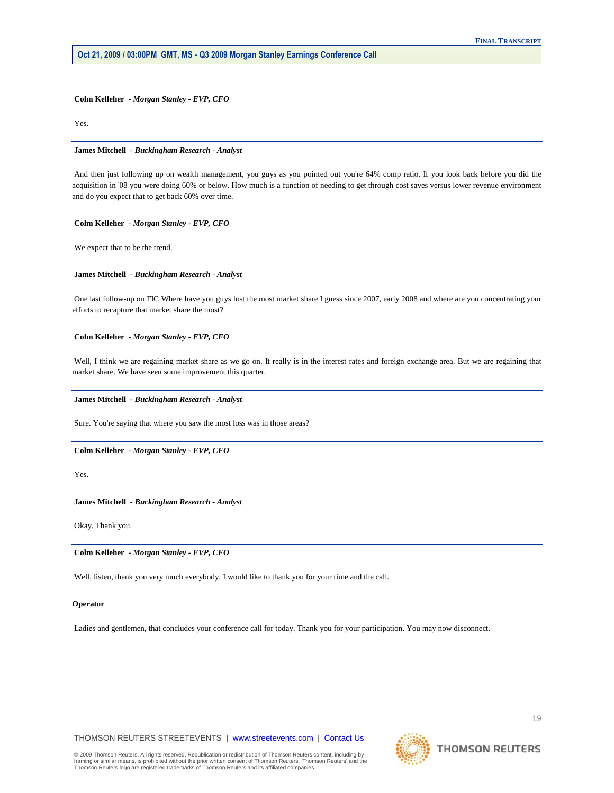**Colm Kelleher** *- Morgan Stanley - EVP, CFO* 

Yes.

## **James Mitchell** *- Buckingham Research - Analyst*

 And then just following up on wealth management, you guys as you pointed out you're 64% comp ratio. If you look back before you did the acquisition in '08 you were doing 60% or below. How much is a function of needing to get through cost saves versus lower revenue environment and do you expect that to get back 60% over time.

#### **Colm Kelleher** *- Morgan Stanley - EVP, CFO*

We expect that to be the trend.

# **James Mitchell** *- Buckingham Research - Analyst*

 One last follow-up on FIC Where have you guys lost the most market share I guess since 2007, early 2008 and where are you concentrating your efforts to recapture that market share the most?

# **Colm Kelleher** *- Morgan Stanley - EVP, CFO*

 Well, I think we are regaining market share as we go on. It really is in the interest rates and foreign exchange area. But we are regaining that market share. We have seen some improvement this quarter.

# **James Mitchell** *- Buckingham Research - Analyst*

Sure. You're saying that where you saw the most loss was in those areas?

# **Colm Kelleher** *- Morgan Stanley - EVP, CFO*

Yes.

# **James Mitchell** *- Buckingham Research - Analyst*

Okay. Thank you.

 **Colm Kelleher** *- Morgan Stanley - EVP, CFO* 

Well, listen, thank you very much everybody. I would like to thank you for your time and the call.

# **Operator**

Ladies and gentlemen, that concludes your conference call for today. Thank you for your participation. You may now disconnect.